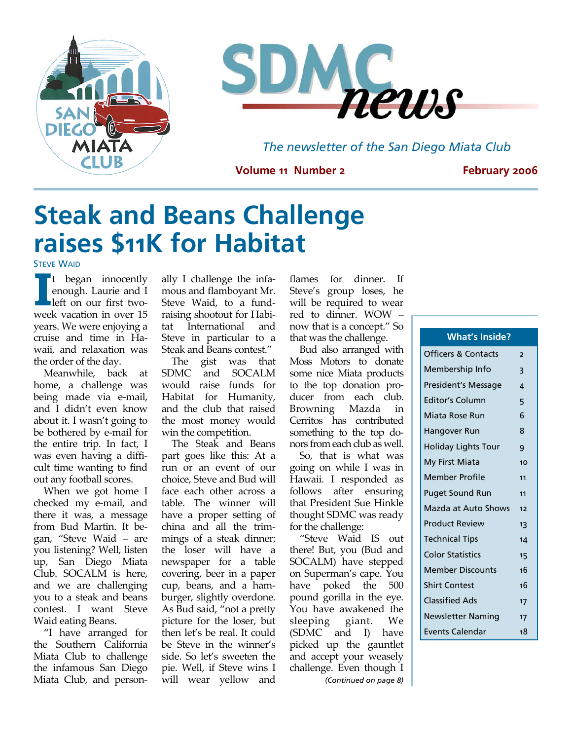



*The newsletter of the San Diego Miata Club* 

**Volume 11 Number 2** 

**February 2006** 

# **Steak and Beans Challenge raises \$11K for Habitat**

**STEVE WAID** 

**I Lean** innocently<br>
left on our first two–<br>
week vacation in over 15 enough. Laurie and I week vacation in over 15 years. We were enjoying a cruise and time in Ha‐ waii, and relaxation was the order of the day.

Meanwhile, back at home, a challenge was being made via e‐mail, and I didn't even know about it. I wasn't going to be bothered by e‐mail for the entire trip. In fact, I was even having a diffi‐ cult time wanting to find out any football scores.

When we got home I checked my e‐mail, and there it was, a message from Bud Martin. It be‐ gan, "Steve Waid – are you listening? Well, listen up, San Diego Miata Club. SOCALM is here, and we are challenging you to a steak and beans contest. I want Steve Waid eating Beans.

"I have arranged for the Southern California Miata Club to challenge the infamous San Diego Miata Club, and person‐ ally I challenge the infa‐ mous and flamboyant Mr. Steve Waid, to a fund‐ raising shootout for Habi‐ tat International and Steve in particular to a Steak and Beans contest."

The gist was that SDMC and SOCALM would raise funds for Habitat for Humanity, and the club that raised the most money would win the competition.

The Steak and Beans part goes like this: At a run or an event of our choice, Steve and Bud will face each other across a table. The winner will have a proper setting of china and all the trim‐ mings of a steak dinner; the loser will have a newspaper for a table covering, beer in a paper cup, beans, and a ham‐ burger, slightly overdone. As Bud said, "not a pretty picture for the loser, but then let's be real. It could be Steve in the winner's side. So let's sweeten the pie. Well, if Steve wins I will wear yellow and

flames for dinner. If Steve's group loses, he will be required to wear red to dinner. WOW – now that is a concept." So that was the challenge.

Bud also arranged with Moss Motors to donate some nice Miata products to the top donation pro‐ ducer from each club. Browning Mazda in Cerritos has contributed something to the top do‐ nors from each club as well.

So, that is what was going on while I was in Hawaii. I responded as follows after ensuring that President Sue Hinkle thought SDMC was ready for the challenge:

"Steve Waid IS out there! But, you (Bud and SOCALM) have stepped on Superman's cape. You have poked the 500 pound gorilla in the eye. You have awakened the sleeping giant. We (SDMC and I) have picked up the gauntlet and accept your weasely challenge. Even though I *(Continued on page 8)* 

### **What's Inside?**

| Officers & Contacts     | 2  |
|-------------------------|----|
| Membership Info         | 3  |
| President's Message     | 4  |
| Editor's Column         | 5  |
| Miata Rose Run          | 6  |
| Hangover Run            | 8  |
| Holiday Lights Tour     | 9  |
| My First Miata          | 10 |
| <b>Member Profile</b>   | 11 |
| <b>Puget Sound Run</b>  | 11 |
| Mazda at Auto Shows     | 12 |
| <b>Product Review</b>   | 13 |
| Technical Tips          | 14 |
| <b>Color Statistics</b> | 15 |
| <b>Member Discounts</b> | 16 |
| Shirt Contest           | 16 |
| Classified Ads          | 17 |
| Newsletter Naming       | 17 |
| <b>Events Calendar</b>  | 18 |
|                         |    |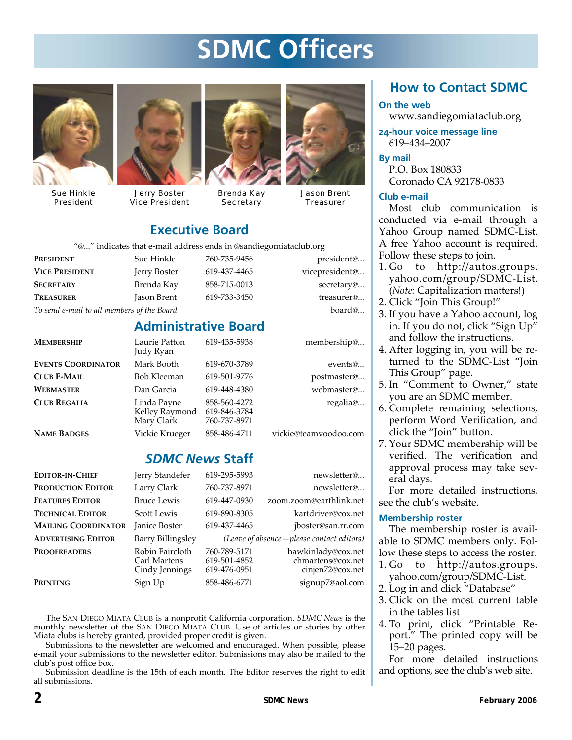# **SDMC Officers**



Sue Hinkle President



Jerry Boster Vice President



Brenda Kay **Secretary** 



Jason Brent **Treasurer** 

### **Executive Board**

"@..." indicates that e‐mail address ends in @sandiegomiataclub.org

| <b>PRESIDENT</b>                           | Sue Hinkle   | 760-735-9456 | president@     |
|--------------------------------------------|--------------|--------------|----------------|
| <b>VICE PRESIDENT</b>                      | Jerry Boster | 619-437-4465 | vicepresident@ |
| <b>SECRETARY</b>                           | Brenda Kay   | 858-715-0013 | secretary@     |
| <b>TREASURER</b>                           | Jason Brent  | 619-733-3450 | treasurer@     |
| To send e-mail to all members of the Board |              |              | board $@$      |

### **Administrative Board**

| <b>MEMBERSHIP</b>         | Laurie Patton<br>Judy Ryan                  | 619-435-5938                                 | membership@           |
|---------------------------|---------------------------------------------|----------------------------------------------|-----------------------|
| <b>EVENTS COORDINATOR</b> | Mark Booth                                  | 619-670-3789                                 | events@               |
| <b>CLUB E-MAIL</b>        | Bob Kleeman                                 | 619-501-9776                                 | postmaster@           |
| <b>WEBMASTER</b>          | Dan Garcia                                  | 619-448-4380                                 | webmaster@            |
| <b>CLUB REGALIA</b>       | Linda Payne<br>Kelley Raymond<br>Mary Clark | 858-560-4272<br>619-846-3784<br>760-737-8971 | regalia@              |
| <b>NAME BADGES</b>        | Vickie Krueger                              | 858-486-4711                                 | vickie@teamvoodoo.com |

### *SDMC News* **Staff**

| <b>EDITOR-IN-CHIEF</b>     | Jerry Standefer                                   | 619-295-5993                                 | newsletter@                                                 |
|----------------------------|---------------------------------------------------|----------------------------------------------|-------------------------------------------------------------|
| <b>PRODUCTION EDITOR</b>   | Larry Clark                                       | 760-737-8971                                 | newsletter@                                                 |
| <b>FEATURES EDITOR</b>     | <b>Bruce Lewis</b>                                | 619-447-0930                                 | zoom.zoom@earthlink.net                                     |
| <b>TECHNICAL EDITOR</b>    | Scott Lewis                                       | 619-890-8305                                 | kartdriver@cox.net                                          |
| <b>MAILING COORDINATOR</b> | <b>Janice Boster</b>                              | 619-437-4465                                 | jboster@san.rr.com                                          |
| <b>ADVERTISING EDITOR</b>  | Barry Billingsley                                 |                                              | (Leave of absence – please contact editors)                 |
| <b>PROOFREADERS</b>        | Robin Faircloth<br>Carl Martens<br>Cindy Jennings | 760-789-5171<br>619-501-4852<br>619-476-0951 | hawkinlady@cox.net<br>chmartens@cox.net<br>cinjen72@cox.net |
| PRINTING                   | Sign Up                                           | 858-486-6771                                 | signup7@aol.com                                             |

The SAN DIEGO MIATA CLUB is a nonprofit California corporation. *SDMC News* is the monthly newsletter of the SAN DIEGO MIATA CLUB. Use of articles or stories by other Miata clubs is hereby granted, provided proper credit is given.

Submissions to the newsletter are welcomed and encouraged. When possible, please e‐mail your submissions to the newsletter editor. Submissions may also be mailed to the club's post office box.

Submission deadline is the 15th of each month. The Editor reserves the right to edit all submissions.

### **How to Contact SDMC**

#### **On the web**

www.sandiegomiataclub.org

**24-hour voice message line**  619–434–2007

#### **By mail**

P.O. Box 180833 Coronado CA 92178‐0833

#### **Club e-mail**

Most club communication is conducted via e‐mail through a Yahoo Group named SDMC‐List. A free Yahoo account is required. Follow these steps to join.

- 1. Go to http://autos.groups. yahoo.com/group/SDMC‐List. (*Note:* Capitalization matters!)
- 2. Click "Join This Group!"
	- 3. If you have a Yahoo account, log in. If you do not, click "Sign Up" and follow the instructions.
	- 4. After logging in, you will be re‐ turned to the SDMC‐List "Join This Group" page.
	- 5. In "Comment to Owner," state you are an SDMC member.
	- 6. Complete remaining selections, perform Word Verification, and click the "Join" button.
	- 7. Your SDMC membership will be verified. The verification and approval process may take sev‐ eral days.

For more detailed instructions, see the club's website.

#### **Membership roster**

The membership roster is avail‐ able to SDMC members only. Fol‐ low these steps to access the roster.

- 1. Go to http://autos.groups. yahoo.com/group/SDMC‐List.
- 2. Log in and click "Database"
- 3. Click on the most current table in the tables list
- 4. To print, click "Printable Re‐ port." The printed copy will be 15–20 pages.

For more detailed instructions and options, see the club's web site.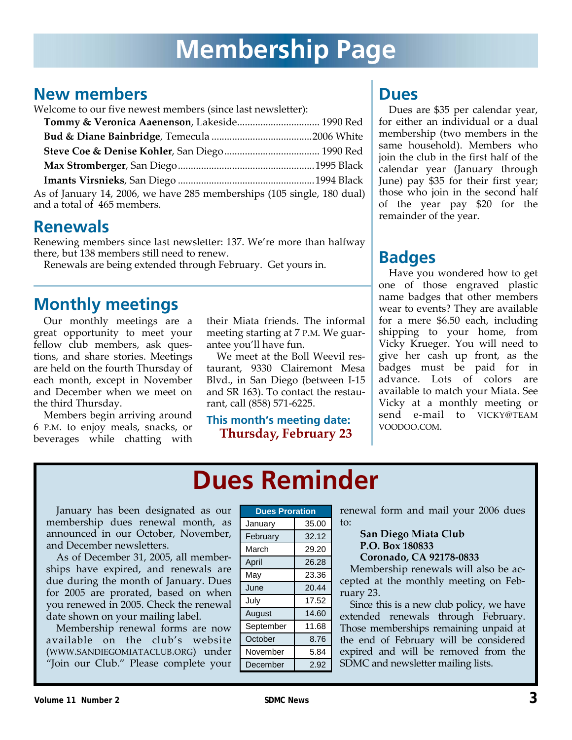### **New members**

Welcome to our five newest members (since last newsletter):

| Tommy & Veronica Aaenenson, Lakeside 1990 Red                                                         |  |
|-------------------------------------------------------------------------------------------------------|--|
|                                                                                                       |  |
|                                                                                                       |  |
|                                                                                                       |  |
|                                                                                                       |  |
| As of January 14, 2006, we have 285 memberships (105 single, 180 dual)<br>and a total of 465 members. |  |

### **Renewals**

Renewing members since last newsletter: 137. We're more than halfway there, but 138 members still need to renew.

Renewals are being extended through February. Get yours in.

### **Monthly meetings**

Our monthly meetings are a great opportunity to meet your fellow club members, ask questions, and share stories. Meetings are held on the fourth Thursday of each month, except in November and December when we meet on the third Thursday.

Members begin arriving around 6 P.M. to enjoy meals, snacks, or beverages while chatting with their Miata friends. The informal meeting starting at 7 P.M. We guarantee you'll have fun.

We meet at the Boll Weevil restaurant, 9330 Clairemont Mesa Blvd., in San Diego (between I‐15 and SR 163). To contact the restau‐ rant, call (858) 571‐6225.

**This month's meeting date: Thursday, February 23**

### **Dues**

Dues are \$35 per calendar year, for either an individual or a dual membership (two members in the same household). Members who join the club in the first half of the calendar year (January through June) pay \$35 for their first year; those who join in the second half of the year pay \$20 for the remainder of the year.

## **Badges**

Have you wondered how to get one of those engraved plastic name badges that other members wear to events? They are available for a mere \$6.50 each, including shipping to your home, from Vicky Krueger. You will need to give her cash up front, as the badges must be paid for in advance. Lots of colors are available to match your Miata. See Vicky at a monthly meeting or send e-mail to VICKY@TEAM VOODOO.COM.

## **Dues Reminder**

January has been designated as our membership dues renewal month, as announced in our October, November, and December newsletters.

As of December 31, 2005, all member‐ ships have expired, and renewals are due during the month of January. Dues for 2005 are prorated, based on when you renewed in 2005. Check the renewal date shown on your mailing label.

Membership renewal forms are now available on the club's website (WWW.SANDIEGOMIATACLUB.ORG) under "Join our Club." Please complete your

| <b>Dues Proration</b> |       |
|-----------------------|-------|
| January               | 35.00 |
| February              | 32.12 |
| March                 | 29.20 |
| April                 | 26.28 |
| May                   | 23.36 |
| June                  | 20.44 |
| July                  | 17.52 |
| August                | 14.60 |
| September             | 11.68 |
| October               | 8.76  |
| November              | 5.84  |
| December              | 2.92  |

renewal form and mail your 2006 dues to:

#### **San Diego Miata Club P.O. Box 180833 Coronado, CA 92178‐0833**

Membership renewals will also be ac‐ cepted at the monthly meeting on Feb‐ ruary 23.

Since this is a new club policy, we have extended renewals through February. Those memberships remaining unpaid at the end of February will be considered expired and will be removed from the SDMC and newsletter mailing lists.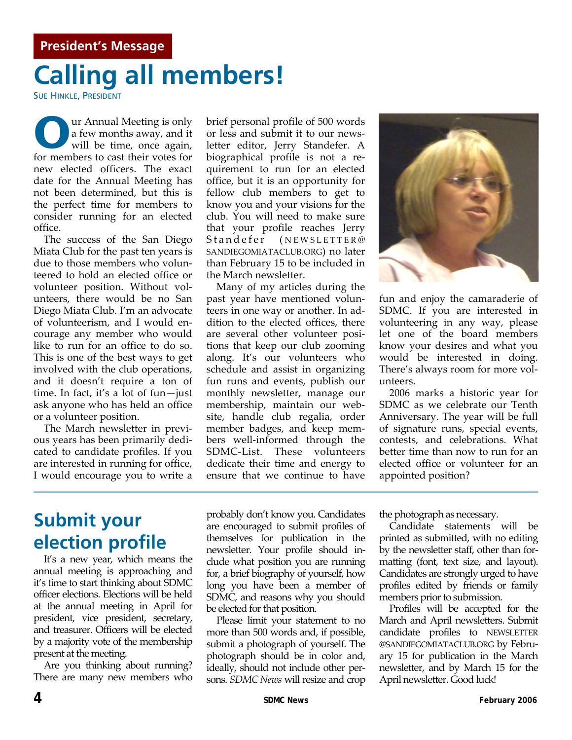# **Calling all members!**

SUE HINKLE, PRESIDENT

**O**ur Annual Meeting is only a few months away, and it will be time, once again, a few months away, and it will be time, once again, for members to cast their votes for new elected officers. The exact date for the Annual Meeting has not been determined, but this is the perfect time for members to consider running for an elected office.

The success of the San Diego Miata Club for the past ten years is due to those members who volun‐ teered to hold an elected office or volunteer position. Without vol‐ unteers, there would be no San Diego Miata Club. I'm an advocate of volunteerism, and I would en‐ courage any member who would like to run for an office to do so. This is one of the best ways to get involved with the club operations, and it doesn't require a ton of time. In fact, it's a lot of fun—just ask anyone who has held an office or a volunteer position.

The March newsletter in previ‐ ous years has been primarily dedi‐ cated to candidate profiles. If you are interested in running for office, I would encourage you to write a brief personal profile of 500 words or less and submit it to our news‐ letter editor, Jerry Standefer. A biographical profile is not a re‐ quirement to run for an elected office, but it is an opportunity for fellow club members to get to know you and your visions for the club. You will need to make sure that your profile reaches Jerry Standefer (NEWSLETTER@ SANDIEGOMIATACLUB.ORG) no later than February 15 to be included in the March newsletter.

Many of my articles during the past year have mentioned volun‐ teers in one way or another. In ad‐ dition to the elected offices, there are several other volunteer positions that keep our club zooming along. It's our volunteers who schedule and assist in organizing fun runs and events, publish our monthly newsletter, manage our membership, maintain our web‐ site, handle club regalia, order member badges, and keep mem‐ bers well‐informed through the SDMC‐List. These volunteers dedicate their time and energy to ensure that we continue to have



fun and enjoy the camaraderie of SDMC. If you are interested in volunteering in any way, please let one of the board members know your desires and what you would be interested in doing. There's always room for more vol‐ unteers.

2006 marks a historic year for SDMC as we celebrate our Tenth Anniversary. The year will be full of signature runs, special events, contests, and celebrations. What better time than now to run for an elected office or volunteer for an appointed position?

## **Submit your election profile**

It's a new year, which means the annual meeting is approaching and it's time to start thinking about SDMC officer elections. Elections will be held at the annual meeting in April for president, vice president, secretary, and treasurer. Officers will be elected by a majority vote of the membership present at the meeting.

Are you thinking about running? There are many new members who probably don't know you. Candidates are encouraged to submit profiles of themselves for publication in the newsletter. Your profile should in‐ clude what position you are running for, a brief biography of yourself, how long you have been a member of SDMC, and reasons why you should be elected for that position.

Please limit your statement to no more than 500 words and, if possible, submit a photograph of yourself. The photograph should be in color and, ideally, should not include other per‐ sons. *SDMC News* will resize and crop

the photograph as necessary.

Candidate statements will be printed as submitted, with no editing by the newsletter staff, other than for‐ matting (font, text size, and layout). Candidates are strongly urged to have profiles edited by friends or family members prior to submission.

Profiles will be accepted for the March and April newsletters. Submit candidate profiles to NEWSLETTER @SANDIEGOMIATACLUB.ORG by Febru‐ ary 15 for publication in the March newsletter, and by March 15 for the April newsletter. Good luck!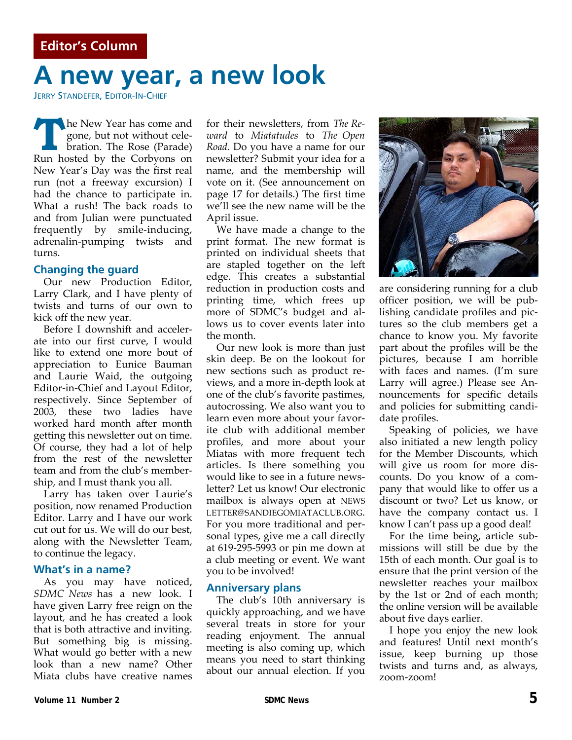## **A new year, a new look**

JERRY STANDEFER, EDITOR-IN-CHIEF

**The New Year has come and<br>gone, but not without cele-<br>bration. The Rose (Parade)** gone, but not without cele‐ bration. The Rose (Parade) Run hosted by the Corbyons on New Year's Day was the first real run (not a freeway excursion) I had the chance to participate in. What a rush! The back roads to and from Julian were punctuated frequently by smile‐inducing, adrenalin‐pumping twists and turns.

#### **Changing the guard**

Our new Production Editor, Larry Clark, and I have plenty of twists and turns of our own to kick off the new year.

Before I downshift and acceler‐ ate into our first curve, I would like to extend one more bout of appreciation to Eunice Bauman and Laurie Waid, the outgoing Editor‐in‐Chief and Layout Editor, respectively. Since September of 2003, these two ladies have worked hard month after month getting this newsletter out on time. Of course, they had a lot of help from the rest of the newsletter team and from the club's member‐ ship, and I must thank you all.

Larry has taken over Laurie's position, now renamed Production Editor. Larry and I have our work cut out for us. We will do our best, along with the Newsletter Team, to continue the legacy.

#### **What's in a name?**

As you may have noticed, *SDMC News* has a new look. I have given Larry free reign on the layout, and he has created a look that is both attractive and inviting. But something big is missing. What would go better with a new look than a new name? Other Miata clubs have creative names

for their newsletters, from *The Re‐ ward* to *Miatatudes* to *The Open Road*. Do you have a name for our newsletter? Submit your idea for a name, and the membership will vote on it. (See announcement on page 17 for details.) The first time we'll see the new name will be the April issue.

We have made a change to the print format. The new format is printed on individual sheets that are stapled together on the left edge. This creates a substantial reduction in production costs and printing time, which frees up more of SDMC's budget and allows us to cover events later into the month.

Our new look is more than just skin deep. Be on the lookout for new sections such as product re‐ views, and a more in‐depth look at one of the club's favorite pastimes, autocrossing. We also want you to learn even more about your favor‐ ite club with additional member profiles, and more about your Miatas with more frequent tech articles. Is there something you would like to see in a future news‐ letter? Let us know! Our electronic mailbox is always open at NEWS LETTER@SANDIEGOMIATACLUB.ORG. For you more traditional and per‐ sonal types, give me a call directly at 619‐295‐5993 or pin me down at a club meeting or event. We want you to be involved!

#### **Anniversary plans**

The club's 10th anniversary is quickly approaching, and we have several treats in store for your reading enjoyment. The annual meeting is also coming up, which means you need to start thinking about our annual election. If you



are considering running for a club officer position, we will be pub‐ lishing candidate profiles and pic‐ tures so the club members get a chance to know you. My favorite part about the profiles will be the pictures, because I am horrible with faces and names. (I'm sure Larry will agree.) Please see An‐ nouncements for specific details and policies for submitting candi‐ date profiles.

Speaking of policies, we have also initiated a new length policy for the Member Discounts, which will give us room for more dis‐ counts. Do you know of a com‐ pany that would like to offer us a discount or two? Let us know, or have the company contact us. I know I can't pass up a good deal!

For the time being, article sub‐ missions will still be due by the 15th of each month. Our goal is to ensure that the print version of the newsletter reaches your mailbox by the 1st or 2nd of each month; the online version will be available about five days earlier.

I hope you enjoy the new look and features! Until next month's issue, keep burning up those twists and turns and, as always, zoom‐zoom!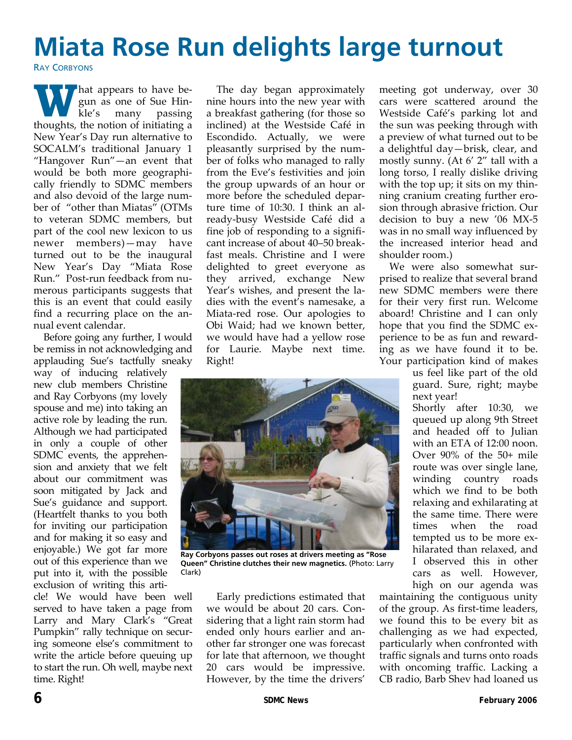# **Miata Rose Run delights large turnout**

**RAY CORBYONS** 

**W** hat appears to have begun as one of Sue Hin-<br>kle's many passing gun as one of Sue Hin‐ kle's many passing thoughts, the notion of initiating a New Year's Day run alternative to SOCALM's traditional January 1 "Hangover Run"—an event that would be both more geographi‐ cally friendly to SDMC members and also devoid of the large num‐ ber of "other than Miatas" (OTMs to veteran SDMC members, but part of the cool new lexicon to us newer members)—may have turned out to be the inaugural New Year's Day "Miata Rose Run." Post‐run feedback from nu‐ merous participants suggests that this is an event that could easily find a recurring place on the an‐ nual event calendar.

Before going any further, I would be remiss in not acknowledging and applauding Sue's tactfully sneaky

way of inducing relatively new club members Christine and Ray Corbyons (my lovely spouse and me) into taking an active role by leading the run. Although we had participated in only a couple of other SDMC events, the apprehension and anxiety that we felt about our commitment was soon mitigated by Jack and Sue's guidance and support. (Heartfelt thanks to you both for inviting our participation and for making it so easy and enjoyable.) We got far more out of this experience than we put into it, with the possible exclusion of writing this arti‐

cle! We would have been well served to have taken a page from Larry and Mary Clark's "Great Pumpkin" rally technique on securing someone else's commitment to write the article before queuing up to start the run. Oh well, maybe next time. Right!

The day began approximately nine hours into the new year with a breakfast gathering (for those so inclined) at the Westside Café in Escondido. Actually, we were pleasantly surprised by the num‐ ber of folks who managed to rally from the Eve's festivities and join the group upwards of an hour or more before the scheduled depar‐ ture time of 10:30. I think an already‐busy Westside Café did a fine job of responding to a significant increase of about 40–50 break‐ fast meals. Christine and I were delighted to greet everyone as they arrived, exchange New Year's wishes, and present the la‐ dies with the event's namesake, a Miata‐red rose. Our apologies to Obi Waid; had we known better, we would have had a yellow rose for Laurie. Maybe next time. Right!



**Ray Corbyons passes out roses at drivers meeting as "Rose Queen" Christine clutches their new magnetics.** (Photo: Larry Clark)

Early predictions estimated that we would be about 20 cars. Con‐ sidering that a light rain storm had ended only hours earlier and an‐ other far stronger one was forecast for late that afternoon, we thought 20 cars would be impressive. However, by the time the drivers'

meeting got underway, over 30 cars were scattered around the Westside Café's parking lot and the sun was peeking through with a preview of what turned out to be a delightful day—brisk, clear, and mostly sunny. (At 6' 2" tall with a long torso, I really dislike driving with the top up; it sits on my thinning cranium creating further ero‐ sion through abrasive friction. Our decision to buy a new '06 MX‐5 was in no small way influenced by the increased interior head and shoulder room.)

We were also somewhat surprised to realize that several brand new SDMC members were there for their very first run. Welcome aboard! Christine and I can only hope that you find the SDMC ex‐ perience to be as fun and reward‐ ing as we have found it to be. Your participation kind of makes

us feel like part of the old guard. Sure, right; maybe next year!

Shortly after 10:30, we queued up along 9th Street and headed off to Julian with an ETA of 12:00 noon. Over 90% of the 50+ mile route was over single lane, winding country roads which we find to be both relaxing and exhilarating at the same time. There were times when the road tempted us to be more ex‐ hilarated than relaxed, and I observed this in other cars as well. However, high on our agenda was

maintaining the contiguous unity of the group. As first‐time leaders, we found this to be every bit as challenging as we had expected, particularly when confronted with traffic signals and turns onto roads with oncoming traffic. Lacking a CB radio, Barb Shev had loaned us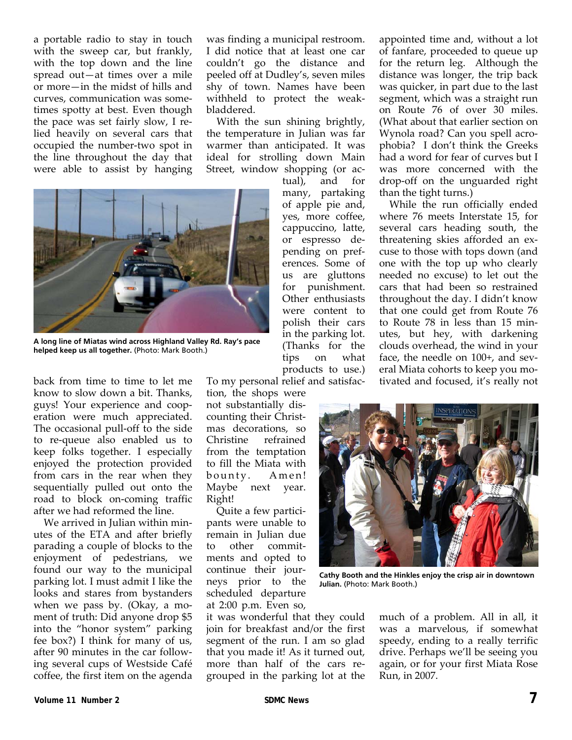a portable radio to stay in touch with the sweep car, but frankly, with the top down and the line spread out—at times over a mile or more—in the midst of hills and curves, communication was some‐ times spotty at best. Even though the pace was set fairly slow, I re‐ lied heavily on several cars that occupied the number‐two spot in the line throughout the day that were able to assist by hanging

was finding a municipal restroom. I did notice that at least one car couldn't go the distance and peeled off at Dudley's, seven miles shy of town. Names have been withheld to protect the weak‐ bladdered.

With the sun shining brightly, the temperature in Julian was far warmer than anticipated. It was ideal for strolling down Main Street, window shopping (or ac-

> tual), and for many, partaking of apple pie and, yes, more coffee, cappuccino, latte, or espresso de‐ pending on pref‐ erences. Some of us are gluttons for punishment. Other enthusiasts were content to



**A long line of Miatas wind across Highland Valley Rd. Ray's pace helped keep us all together.** (Photo: Mark Booth.)

back from time to time to let me know to slow down a bit. Thanks, guys! Your experience and coop‐ eration were much appreciated. The occasional pull-off to the side to re‐queue also enabled us to keep folks together. I especially enjoyed the protection provided from cars in the rear when they sequentially pulled out onto the road to block on‐coming traffic after we had reformed the line.

We arrived in Julian within minutes of the ETA and after briefly parading a couple of blocks to the enjoyment of pedestrians, we found our way to the municipal parking lot. I must admit I like the looks and stares from bystanders when we pass by. (Okay, a moment of truth: Did anyone drop \$5 into the "honor system" parking fee box?) I think for many of us, after 90 minutes in the car follow‐ ing several cups of Westside Café coffee, the first item on the agenda

polish their cars in the parking lot. (Thanks for the tips on what products to use.) To my personal relief and satisfac‐ tion, the shops were not substantially dis‐ counting their Christ‐ mas decorations, so Christine refrained from the temptation to fill the Miata with bounty. Amen! Maybe next year.

Quite a few partici‐ pants were unable to remain in Julian due to other commit‐ ments and opted to continue their jour‐ neys prior to the scheduled departure at 2:00 p.m. Even so,

Right!

it was wonderful that they could join for breakfast and/or the first segment of the run. I am so glad that you made it! As it turned out, more than half of the cars regrouped in the parking lot at the

appointed time and, without a lot of fanfare, proceeded to queue up for the return leg. Although the distance was longer, the trip back was quicker, in part due to the last segment, which was a straight run on Route 76 of over 30 miles. (What about that earlier section on Wynola road? Can you spell acro‐ phobia? I don't think the Greeks had a word for fear of curves but I was more concerned with the drop‐off on the unguarded right than the tight turns.)

While the run officially ended where 76 meets Interstate 15, for several cars heading south, the threatening skies afforded an ex‐ cuse to those with tops down (and one with the top up who clearly needed no excuse) to let out the cars that had been so restrained throughout the day. I didn't know that one could get from Route 76 to Route 78 in less than 15 min‐ utes, but hey, with darkening clouds overhead, the wind in your face, the needle on 100+, and sev‐ eral Miata cohorts to keep you mo‐ tivated and focused, it's really not



**Cathy Booth and the Hinkles enjoy the crisp air in downtown Julian.** (Photo: Mark Booth.)

much of a problem. All in all, it was a marvelous, if somewhat speedy, ending to a really terrific drive. Perhaps we'll be seeing you again, or for your first Miata Rose Run, in 2007.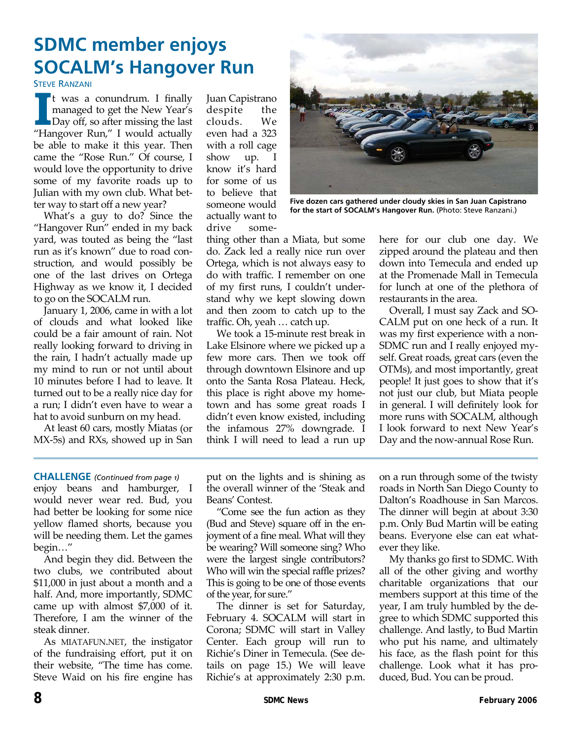## **SDMC member enjoys SOCALM's Hangover Run**

**STEVE RANZANI** 

**I I** was a conundrum. I finally<br>
managed to get the New Year's<br>
Day off, so after missing the last<br>
"Hangover Run" I would actually managed to get the New Year's "Hangover Run," I would actually be able to make it this year. Then came the "Rose Run." Of course, I would love the opportunity to drive some of my favorite roads up to Julian with my own club. What bet‐ ter way to start off a new year?

What's a guy to do? Since the "Hangover Run" ended in my back yard, was touted as being the "last run as it's known" due to road con‐ struction, and would possibly be one of the last drives on Ortega Highway as we know it, I decided to go on the SOCALM run.

January 1, 2006, came in with a lot of clouds and what looked like could be a fair amount of rain. Not really looking forward to driving in the rain, I hadn't actually made up my mind to run or not until about 10 minutes before I had to leave. It turned out to be a really nice day for a run; I didn't even have to wear a hat to avoid sunburn on my head.

At least 60 cars, mostly Miatas (or MX‐5s) and RXs, showed up in San

Juan Capistrano despite the clouds. We even had a 323 with a roll cage show up. I know it's hard for some of us to believe that someone would actually want to drive some-



**Five dozen cars gathered under cloudy skies in San Juan Capistrano for the start of SOCALM's Hangover Run.** (Photo: Steve Ranzani.)

thing other than a Miata, but some do. Zack led a really nice run over Ortega, which is not always easy to do with traffic. I remember on one of my first runs, I couldn't under‐ stand why we kept slowing down and then zoom to catch up to the traffic. Oh, yeah … catch up.

We took a 15‐minute rest break in Lake Elsinore where we picked up a few more cars. Then we took off through downtown Elsinore and up onto the Santa Rosa Plateau. Heck, this place is right above my home‐ town and has some great roads I didn't even know existed, including the infamous 27% downgrade. I think I will need to lead a run up

here for our club one day. We zipped around the plateau and then down into Temecula and ended up at the Promenade Mall in Temecula for lunch at one of the plethora of restaurants in the area.

Overall, I must say Zack and SO‐ CALM put on one heck of a run. It was my first experience with a non-SDMC run and I really enjoyed my‐ self. Great roads, great cars (even the OTMs), and most importantly, great people! It just goes to show that it's not just our club, but Miata people in general. I will definitely look for more runs with SOCALM, although I look forward to next New Year's Day and the now-annual Rose Run.

enjoy beans and hamburger, I would never wear red. Bud, you had better be looking for some nice yellow flamed shorts, because you will be needing them. Let the games begin…" **CHALLENGE** *(Continued from page 1)* 

And begin they did. Between the two clubs, we contributed about \$11,000 in just about a month and a half. And, more importantly, SDMC came up with almost \$7,000 of it. Therefore, I am the winner of the steak dinner.

As MIATAFUN.NET, the instigator of the fundraising effort, put it on their website, "The time has come. Steve Waid on his fire engine has put on the lights and is shining as the overall winner of the 'Steak and Beans' Contest.

"Come see the fun action as they (Bud and Steve) square off in the enjoyment of a fine meal. What will they be wearing? Will someone sing? Who were the largest single contributors? Who will win the special raffle prizes? This is going to be one of those events of the year, for sure."

The dinner is set for Saturday, February 4. SOCALM will start in Corona; SDMC will start in Valley Center. Each group will run to Richie's Diner in Temecula. (See de‐ tails on page 15.) We will leave Richie's at approximately 2:30 p.m.

on a run through some of the twisty roads in North San Diego County to Dalton's Roadhouse in San Marcos. The dinner will begin at about 3:30 p.m. Only Bud Martin will be eating beans. Everyone else can eat what‐ ever they like.

My thanks go first to SDMC. With all of the other giving and worthy charitable organizations that our members support at this time of the year, I am truly humbled by the de‐ gree to which SDMC supported this challenge. And lastly, to Bud Martin who put his name, and ultimately his face, as the flash point for this challenge. Look what it has pro‐ duced, Bud. You can be proud.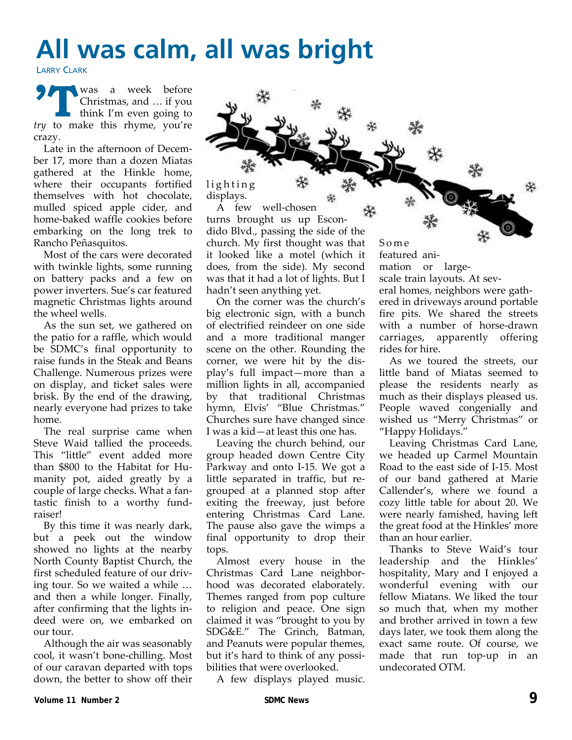# **All was calm, all was bright**

displays.

LARRY CLARK

**N** was a week before Christmas, and … if you think I'm even going to *try* to make this rhyme, you're crazy.

Late in the afternoon of Decem‐ ber 17, more than a dozen Miatas gathered at the Hinkle home, where their occupants fortified themselves with hot chocolate, mulled spiced apple cider, and home‐baked waffle cookies before embarking on the long trek to Rancho Peñasquitos.

Most of the cars were decorated with twinkle lights, some running on battery packs and a few on power inverters. Sue's car featured magnetic Christmas lights around the wheel wells.

As the sun set, we gathered on the patio for a raffle, which would be SDMC's final opportunity to raise funds in the Steak and Beans Challenge. Numerous prizes were on display, and ticket sales were brisk. By the end of the drawing, nearly everyone had prizes to take home.

The real surprise came when Steve Waid tallied the proceeds. This "little" event added more than \$800 to the Habitat for Hu‐ manity pot, aided greatly by a couple of large checks. What a fan‐ tastic finish to a worthy fund‐ raiser!

By this time it was nearly dark, but a peek out the window showed no lights at the nearby North County Baptist Church, the first scheduled feature of our driv‐ ing tour. So we waited a while … and then a while longer. Finally, after confirming that the lights in‐ deed were on, we embarked on our tour.

Although the air was seasonably cool, it wasn't bone‐chilling. Most of our caravan departed with tops down, the better to show off their lighting A few well‐chosen turns brought us up Escon‐ dido Blvd., passing the side of the church. My first thought was that it looked like a motel (which it does, from the side). My second was that it had a lot of lights. But I hadn't seen anything yet. On the corner was the church's big electronic sign, with a bunch Some featured ani‐ mation or large‐ scale train layouts. At sev‐

of electrified reindeer on one side and a more traditional manger scene on the other. Rounding the corner, we were hit by the dis‐ play's full impact—more than a million lights in all, accompanied by that traditional Christmas hymn, Elvis' "Blue Christmas." Churches sure have changed since I was a kid—at least this one has.

Leaving the church behind, our group headed down Centre City Parkway and onto I‐15. We got a little separated in traffic, but re‐ grouped at a planned stop after exiting the freeway, just before entering Christmas Card Lane. The pause also gave the wimps a final opportunity to drop their tops.

Almost every house in the Christmas Card Lane neighbor‐ hood was decorated elaborately. Themes ranged from pop culture to religion and peace. One sign claimed it was "brought to you by SDG&E." The Grinch, Batman, and Peanuts were popular themes, but it's hard to think of any possi‐ bilities that were overlooked.

A few displays played music.

eral homes, neighbors were gath‐ ered in driveways around portable fire pits. We shared the streets with a number of horse-drawn carriages, apparently offering rides for hire. As we toured the streets, our

little band of Miatas seemed to please the residents nearly as much as their displays pleased us. People waved congenially and wished us "Merry Christmas" or "Happy Holidays."

Leaving Christmas Card Lane, we headed up Carmel Mountain Road to the east side of I‐15. Most of our band gathered at Marie Callender's, where we found a cozy little table for about 20. We were nearly famished, having left the great food at the Hinkles' more than an hour earlier.

Thanks to Steve Waid's tour leadership and the Hinkles' hospitality, Mary and I enjoyed a wonderful evening with our fellow Miatans. We liked the tour so much that, when my mother and brother arrived in town a few days later, we took them along the exact same route. Of course, we made that run top‐up in an undecorated OTM.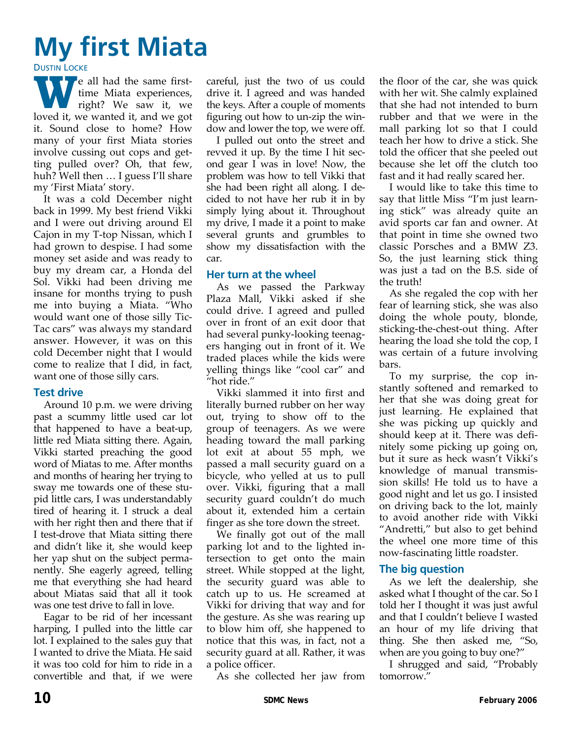# **My first Miata**

**DUSTIN LOCKE** 

**P** e all had the same firsttime Miata experiences, right? We saw it, we loved it, we wanted it, and we got it. Sound close to home? How many of your first Miata stories involve cussing out cops and get‐ ting pulled over? Oh, that few, huh? Well then … I guess I'll share my 'First Miata' story.

It was a cold December night back in 1999. My best friend Vikki and I were out driving around El Cajon in my T‐top Nissan, which I had grown to despise. I had some money set aside and was ready to buy my dream car, a Honda del Sol. Vikki had been driving me insane for months trying to push me into buying a Miata. "Who would want one of those silly Tic-Tac cars" was always my standard answer. However, it was on this cold December night that I would come to realize that I did, in fact, want one of those silly cars.

#### **Test drive**

Around 10 p.m. we were driving past a scummy little used car lot that happened to have a beat‐up, little red Miata sitting there. Again, Vikki started preaching the good word of Miatas to me. After months and months of hearing her trying to sway me towards one of these stu‐ pid little cars, I was understandably tired of hearing it. I struck a deal with her right then and there that if I test‐drove that Miata sitting there and didn't like it, she would keep her yap shut on the subject perma‐ nently. She eagerly agreed, telling me that everything she had heard about Miatas said that all it took was one test drive to fall in love.

Eagar to be rid of her incessant harping, I pulled into the little car lot. I explained to the sales guy that I wanted to drive the Miata. He said it was too cold for him to ride in a convertible and that, if we were

careful, just the two of us could drive it. I agreed and was handed the keys. After a couple of moments figuring out how to un‐zip the win‐ dow and lower the top, we were off.

I pulled out onto the street and revved it up. By the time I hit sec‐ ond gear I was in love! Now, the problem was how to tell Vikki that she had been right all along. I de‐ cided to not have her rub it in by simply lying about it. Throughout my drive, I made it a point to make several grunts and grumbles to show my dissatisfaction with the car.

#### **Her turn at the wheel**

As we passed the Parkway Plaza Mall, Vikki asked if she could drive. I agreed and pulled over in front of an exit door that had several punky‐looking teenag‐ ers hanging out in front of it. We traded places while the kids were yelling things like "cool car" and "hot ride."

Vikki slammed it into first and literally burned rubber on her way out, trying to show off to the group of teenagers. As we were heading toward the mall parking lot exit at about 55 mph, we passed a mall security guard on a bicycle, who yelled at us to pull over. Vikki, figuring that a mall security guard couldn't do much about it, extended him a certain finger as she tore down the street.

We finally got out of the mall parking lot and to the lighted in‐ tersection to get onto the main street. While stopped at the light, the security guard was able to catch up to us. He screamed at Vikki for driving that way and for the gesture. As she was rearing up to blow him off, she happened to notice that this was, in fact, not a security guard at all. Rather, it was a police officer.

As she collected her jaw from

the floor of the car, she was quick with her wit. She calmly explained that she had not intended to burn rubber and that we were in the mall parking lot so that I could teach her how to drive a stick. She told the officer that she peeled out because she let off the clutch too fast and it had really scared her.

I would like to take this time to say that little Miss "I'm just learn‐ ing stick" was already quite an avid sports car fan and owner. At that point in time she owned two classic Porsches and a BMW Z3. So, the just learning stick thing was just a tad on the B.S. side of the truth!

As she regaled the cop with her fear of learning stick, she was also doing the whole pouty, blonde, sticking‐the‐chest‐out thing. After hearing the load she told the cop, I was certain of a future involving bars.

To my surprise, the cop in‐ stantly softened and remarked to her that she was doing great for just learning. He explained that she was picking up quickly and should keep at it. There was defi‐ nitely some picking up going on, but it sure as heck wasn't Vikki's knowledge of manual transmis‐ sion skills! He told us to have a good night and let us go. I insisted on driving back to the lot, mainly to avoid another ride with Vikki "Andretti," but also to get behind the wheel one more time of this now‐fascinating little roadster.

#### **The big question**

As we left the dealership, she asked what I thought of the car. So I told her I thought it was just awful and that I couldn't believe I wasted an hour of my life driving that thing. She then asked me, "So, when are you going to buy one?"

I shrugged and said, "Probably tomorrow."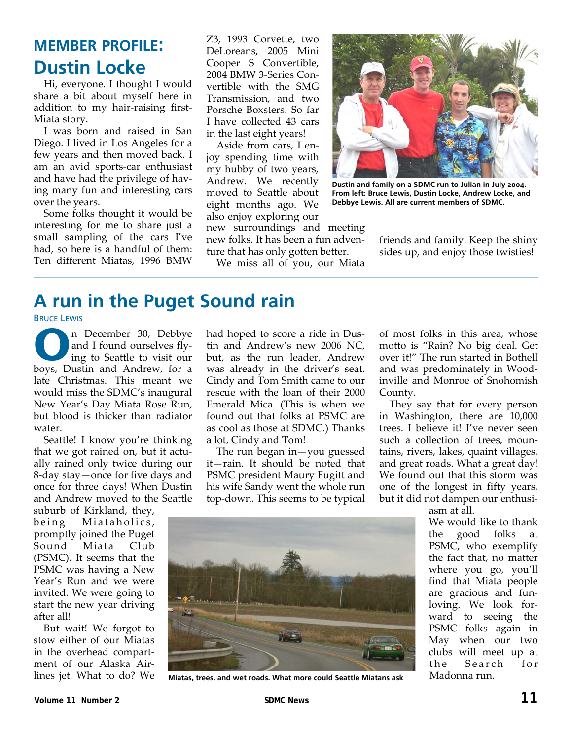### **MEMBER PROFILE: Dustin Locke**

Hi, everyone. I thought I would share a bit about myself here in addition to my hair‐raising first‐ Miata story.

I was born and raised in San Diego. I lived in Los Angeles for a few years and then moved back. I am an avid sports‐car enthusiast and have had the privilege of hav‐ ing many fun and interesting cars over the years.

Some folks thought it would be interesting for me to share just a small sampling of the cars I've had, so here is a handful of them: Ten different Miatas, 1996 BMW

Z3, 1993 Corvette, two DeLoreans, 2005 Mini Cooper S Convertible, 2004 BMW 3‐Series Con‐ vertible with the SMG Transmission, and two Porsche Boxsters. So far I have collected 43 cars in the last eight years!

Aside from cars, I en‐ joy spending time with my hubby of two years, Andrew. We recently moved to Seattle about eight months ago. We also enjoy exploring our

new surroundings and meeting new folks. It has been a fun adven‐ ture that has only gotten better.

We miss all of you, our Miata



**Dustin and family on a SDMC run to Julian in July 2004. From left: Bruce Lewis, Dustin Locke, Andrew Locke, and Debbye Lewis. All are current members of SDMC.** 

friends and family. Keep the shiny sides up, and enjoy those twisties!

### **A run in the Puget Sound rain**

BRUCE LEWIS

**O n** December 30, Debbye<br>
and I found ourselves fly-<br>
ing to Seattle to visit our<br>
bows Dustin and Androw for a and I found ourselves flyboys, Dustin and Andrew, for a late Christmas. This meant we would miss the SDMC's inaugural New Year's Day Miata Rose Run, but blood is thicker than radiator water.

Seattle! I know you're thinking that we got rained on, but it actu‐ ally rained only twice during our 8‐day stay—once for five days and once for three days! When Dustin and Andrew moved to the Seattle

suburb of Kirkland, they, being Miataholics, promptly joined the Puget Sound Miata Club (PSMC). It seems that the PSMC was having a New Year's Run and we were invited. We were going to start the new year driving after all!

But wait! We forgot to stow either of our Miatas in the overhead compart‐ ment of our Alaska Air‐ lines jet. What to do? We had hoped to score a ride in Dus‐ tin and Andrew's new 2006 NC, but, as the run leader, Andrew was already in the driver's seat. Cindy and Tom Smith came to our rescue with the loan of their 2000 Emerald Mica. (This is when we found out that folks at PSMC are as cool as those at SDMC.) Thanks a lot, Cindy and Tom!

The run began in—you guessed it—rain. It should be noted that PSMC president Maury Fugitt and his wife Sandy went the whole run top‐down. This seems to be typical

of most folks in this area, whose motto is "Rain? No big deal. Get over it!" The run started in Bothell and was predominately in Wood‐ inville and Monroe of Snohomish County.

They say that for every person in Washington, there are 10,000 trees. I believe it! I've never seen such a collection of trees, mountains, rivers, lakes, quaint villages, and great roads. What a great day! We found out that this storm was one of the longest in fifty years, but it did not dampen our enthusi‐



**Miatas, trees, and wet roads. What more could Seattle Miatans ask** 

asm at all.

We would like to thank the good folks at PSMC, who exemplify the fact that, no matter where you go, you'll find that Miata people are gracious and fun‐ loving. We look for‐ ward to seeing the PSMC folks again in May when our two clubs will meet up at the Search for Madonna run.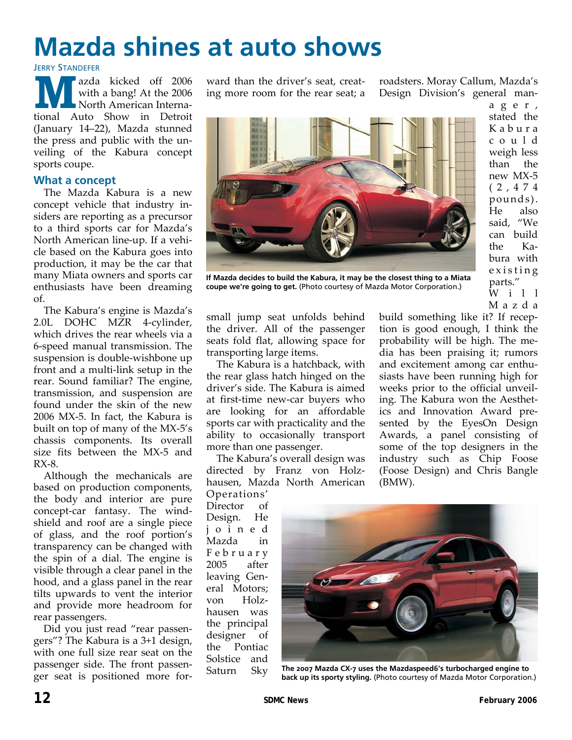# **Mazda shines at auto shows**

**JERRY STANDEFER** 

**M** azda kicked off <sup>2006</sup> with a bang! At the 2006 North American Interna‐ tional Auto Show in Detroit (January 14–22), Mazda stunned the press and public with the un‐ veiling of the Kabura concept sports coupe.

#### **What a concept**

The Mazda Kabura is a new concept vehicle that industry in‐ siders are reporting as a precursor to a third sports car for Mazda's North American line‐up. If a vehi‐ cle based on the Kabura goes into production, it may be the car that many Miata owners and sports car enthusiasts have been dreaming of.

The Kabura's engine is Mazda's 2.0L DOHC MZR 4‐cylinder, which drives the rear wheels via a 6‐speed manual transmission. The suspension is double‐wishbone up front and a multi‐link setup in the rear. Sound familiar? The engine, transmission, and suspension are found under the skin of the new 2006 MX‐5. In fact, the Kabura is built on top of many of the MX‐5's chassis components. Its overall size fits between the MX‐5 and RX‐8.

Although the mechanicals are based on production components, the body and interior are pure concept-car fantasy. The windshield and roof are a single piece of glass, and the roof portion's transparency can be changed with the spin of a dial. The engine is visible through a clear panel in the hood, and a glass panel in the rear tilts upwards to vent the interior and provide more headroom for rear passengers.

Did you just read "rear passen‐ gers"? The Kabura is a 3+1 design, with one full size rear seat on the passenger side. The front passen‐ ger seat is positioned more for‐ ward than the driver's seat, creating more room for the rear seat; a roadsters. Moray Callum, Mazda's Design Division's general man‐



**If Mazda decides to build the Kabura, it may be the closest thing to a Miata coupe we're going to get.** (Photo courtesy of Mazda Motor Corporation.)

ager, stated the Kabura could weigh less than the new MX‐5 (2,474 pounds). He also said, "We can build the Ka‐ bura with existing parts." W i 1 1 Mazda

small jump seat unfolds behind the driver. All of the passenger seats fold flat, allowing space for transporting large items.

The Kabura is a hatchback, with the rear glass hatch hinged on the driver's side. The Kabura is aimed at first‐time new‐car buyers who are looking for an affordable sports car with practicality and the ability to occasionally transport more than one passenger.

The Kabura's overall design was directed by Franz von Holz‐ hausen, Mazda North American

Operations' Director of Design. He joined Mazda in February 2005 after leaving General Motors; von Holz‐ hausen was the principal designer of the Pontiac Solstice and Saturn Sky

build something like it? If recep‐ tion is good enough, I think the probability will be high. The me‐ dia has been praising it; rumors and excitement among car enthusiasts have been running high for weeks prior to the official unveil‐ ing. The Kabura won the Aesthet‐ ics and Innovation Award pre‐ sented by the EyesOn Design Awards, a panel consisting of some of the top designers in the industry such as Chip Foose (Foose Design) and Chris Bangle (BMW).



**The 2007 Mazda CX-7 uses the Mazdaspeed6's turbocharged engine to back up its sporty styling.** (Photo courtesy of Mazda Motor Corporation.)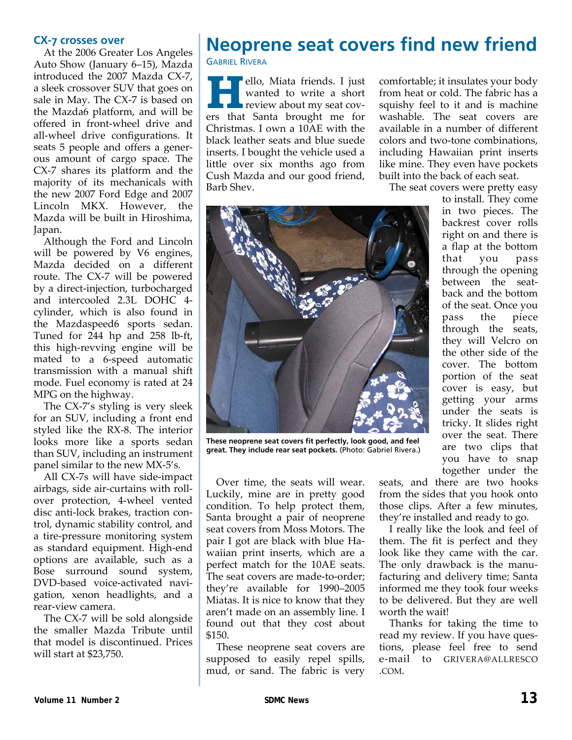#### **CX-7 crosses over**

At the 2006 Greater Los Angeles Auto Show (January 6–15), Mazda introduced the 2007 Mazda CX‐7, a sleek crossover SUV that goes on sale in May. The CX-7 is based on the Mazda6 platform, and will be offered in front‐wheel drive and all‐wheel drive configurations. It seats 5 people and offers a gener‐ ous amount of cargo space. The CX‐7 shares its platform and the majority of its mechanicals with the new 2007 Ford Edge and 2007 Lincoln MKX. However, the Mazda will be built in Hiroshima, Japan.

Although the Ford and Lincoln will be powered by V6 engines, Mazda decided on a different route. The CX‐7 will be powered by a direct-injection, turbocharged and intercooled 2.3L DOHC 4‐ cylinder, which is also found in the Mazdaspeed6 sports sedan. Tuned for 244 hp and 258 lb‐ft, this high‐revving engine will be mated to a 6‐speed automatic transmission with a manual shift mode. Fuel economy is rated at 24 MPG on the highway.

The CX‐7's styling is very sleek for an SUV, including a front end styled like the RX‐8. The interior looks more like a sports sedan than SUV, including an instrument panel similar to the new MX‐5's.

All CX‐7s will have side‐impact airbags, side air‐curtains with roll‐ over protection, 4‐wheel vented disc anti‐lock brakes, traction con‐ trol, dynamic stability control, and a tire‐pressure monitoring system as standard equipment. High‐end options are available, such as a Bose surround sound system, DVD‐based voice‐activated navi‐ gation, xenon headlights, and a rear‐view camera.

The CX‐7 will be sold alongside the smaller Mazda Tribute until that model is discontinued. Prices will start at \$23,750.

### **Neoprene seat covers find new friend**  GABRIEL RIVERA

**H** ello, Miata friends. I just wanted to write a short review about my seat covers that Santa brought me for Christmas. I own a 10AE with the black leather seats and blue suede inserts. I bought the vehicle used a little over six months ago from Cush Mazda and our good friend, Barb Shev.

comfortable; it insulates your body from heat or cold. The fabric has a squishy feel to it and is machine washable. The seat covers are available in a number of different colors and two‐tone combinations, including Hawaiian print inserts like mine. They even have pockets built into the back of each seat.

The seat covers were pretty easy

to install. They come in two pieces. The backrest cover rolls right on and there is a flap at the bottom that you pass through the opening between the seat‐ back and the bottom of the seat. Once you pass the piece through the seats, they will Velcro on the other side of the cover. The bottom portion of the seat cover is easy, but getting your arms under the seats is tricky. It slides right over the seat. There are two clips that you have to snap together under the



**These neoprene seat covers fit perfectly, look good, and feel great. They include rear seat pockets.** (Photo: Gabriel Rivera.)

Over time, the seats will wear. Luckily, mine are in pretty good condition. To help protect them, Santa brought a pair of neoprene seat covers from Moss Motors. The pair I got are black with blue Ha‐ waiian print inserts, which are a perfect match for the 10AE seats. The seat covers are made-to-order; they're available for 1990–2005 Miatas. It is nice to know that they aren't made on an assembly line. I found out that they cost about \$150.

These neoprene seat covers are supposed to easily repel spills, mud, or sand. The fabric is very

seats, and there are two hooks from the sides that you hook onto those clips. After a few minutes, they're installed and ready to go.

I really like the look and feel of them. The fit is perfect and they look like they came with the car. The only drawback is the manufacturing and delivery time; Santa informed me they took four weeks to be delivered. But they are well worth the wait!

Thanks for taking the time to read my review. If you have questions, please feel free to send e‐mail to GRIVERA@ALLRESCO .COM.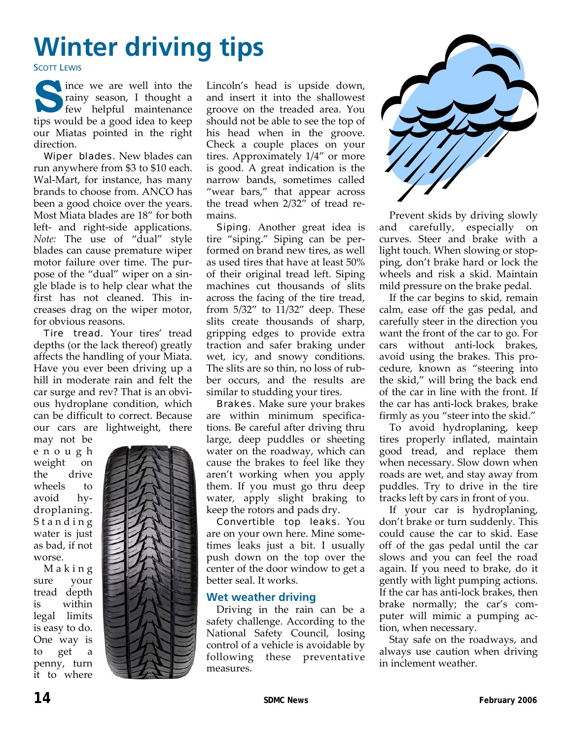# **Winter driving tips**

**SCOTT LEWIS** 

s ince we are well into the rainy season, I thought a few helpful maintenance rainy season, I thought a tips would be a good idea to keep our Miatas pointed in the right direction.

Wiper blades. New blades can run anywhere from \$3 to \$10 each. Wal‐Mart, for instance, has many brands to choose from. ANCO has been a good choice over the years. Most Miata blades are 18" for both left- and right-side applications. *Note:* The use of "dual" style blades can cause premature wiper motor failure over time. The pur‐ pose of the "dual" wiper on a sin‐ gle blade is to help clear what the first has not cleaned. This in‐ creases drag on the wiper motor, for obvious reasons.

Tire tread. Your tires' tread depths (or the lack thereof) greatly affects the handling of your Miata. Have you ever been driving up a hill in moderate rain and felt the car surge and rev? That is an obvi‐ ous hydroplane condition, which can be difficult to correct. Because our cars are lightweight, there

may not be enough weight on the drive wheels to avoid hy‐ droplaning. Standing water is just as bad, if not worse.

Making sure your tread depth is within legal limits is easy to do. One way is to get a penny, turn it to where



Lincoln's head is upside down, and insert it into the shallowest groove on the treaded area. You should not be able to see the top of his head when in the groove. Check a couple places on your tires. Approximately 1/4" or more is good. A great indication is the narrow bands, sometimes called "wear bars," that appear across the tread when 2/32" of tread re‐ mains.

**Siping.** Another great idea is tire "siping." Siping can be per‐ formed on brand new tires, as well as used tires that have at least 50% of their original tread left. Siping machines cut thousands of slits across the facing of the tire tread, from 5/32" to 11/32" deep. These slits create thousands of sharp, gripping edges to provide extra traction and safer braking under wet, icy, and snowy conditions. The slits are so thin, no loss of rub‐ ber occurs, and the results are similar to studding your tires.

**Brakes.** Make sure your brakes are within minimum specifica‐ tions. Be careful after driving thru large, deep puddles or sheeting water on the roadway, which can cause the brakes to feel like they aren't working when you apply them. If you must go thru deep water, apply slight braking to keep the rotors and pads dry.

Convertible top leaks. You are on your own here. Mine some‐ times leaks just a bit. I usually push down on the top over the center of the door window to get a better seal. It works.

#### **Wet weather driving**

Driving in the rain can be a safety challenge. According to the National Safety Council, losing control of a vehicle is avoidable by following these preventative measures.



Prevent skids by driving slowly and carefully, especially on curves. Steer and brake with a light touch. When slowing or stop‐ ping, don't brake hard or lock the wheels and risk a skid. Maintain mild pressure on the brake pedal.

If the car begins to skid, remain calm, ease off the gas pedal, and carefully steer in the direction you want the front of the car to go. For cars without anti‐lock brakes, avoid using the brakes. This pro‐ cedure, known as "steering into the skid," will bring the back end of the car in line with the front. If the car has anti‐lock brakes, brake firmly as you "steer into the skid."

To avoid hydroplaning, keep tires properly inflated, maintain good tread, and replace them when necessary. Slow down when roads are wet, and stay away from puddles. Try to drive in the tire tracks left by cars in front of you.

If your car is hydroplaning, don't brake or turn suddenly. This could cause the car to skid. Ease off of the gas pedal until the car slows and you can feel the road again. If you need to brake, do it gently with light pumping actions. If the car has anti‐lock brakes, then brake normally; the car's com‐ puter will mimic a pumping action, when necessary.

Stay safe on the roadways, and always use caution when driving in inclement weather.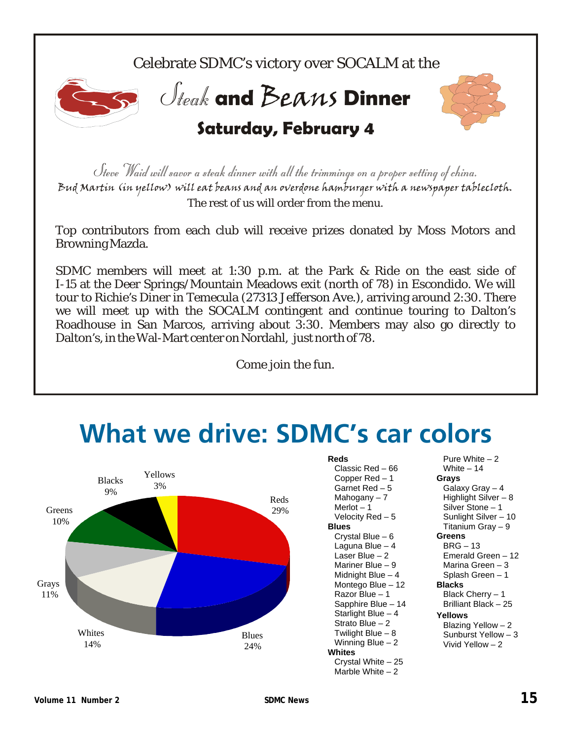Celebrate SDMC's victory over SOCALM at the



**Jteak and Beans Dinner** 



**Saturday, February 4**

Steve Waid will savor a steak dinner with all the trimmings on a proper setting of china. Bud Martin (in yellow) will eat beans and an overdone hamburger with a newspaper tablecloth. The rest of us will order from the menu.

Top contributors from each club will receive prizes donated by Moss Motors and Browning Mazda.

SDMC members will meet at 1:30 p.m. at the Park & Ride on the east side of I-15 at the Deer Springs/Mountain Meadows exit (north of 78) in Escondido. We will tour to Richie's Diner in Temecula (27313 Jefferson Ave.), arriving around 2:30. There we will meet up with the SOCALM contingent and continue touring to Dalton's Roadhouse in San Marcos, arriving about 3:30. Members may also go directly to Dalton's, in the Wal-Mart center on Nordahl, just north of 78.

Come join the fun.

# **What we drive: SDMC's car colors**



**Reds** 

Classic Red – 66 Copper Red – 1 Garnet Red – 5 Mahogany – 7 Merlot  $-1$ Velocity Red – 5 **Blues**  Crystal Blue – 6 Laguna Blue – 4 Laser Blue – 2 Mariner Blue – 9 Midnight Blue – 4 Montego Blue – 12 Razor Blue – 1 Sapphire Blue – 14 Starlight Blue – 4 Strato Blue – 2 Twilight Blue – 8 Winning Blue  $-2$ **Whites**  Crystal White – 25 Marble White – 2

Pure White – 2 White  $-14$ **Grays**  Galaxy Gray – 4 Highlight Silver – 8 Silver Stone – 1 Sunlight Silver – 10 Titanium Gray – 9 **Greens**  BRG – 13 Emerald Green – 12 Marina Green – 3 Splash Green – 1 **Blacks**  Black Cherry – 1 Brilliant Black – 25 **Yellows**  Blazing Yellow – 2 Sunburst Yellow – 3 Vivid Yellow – 2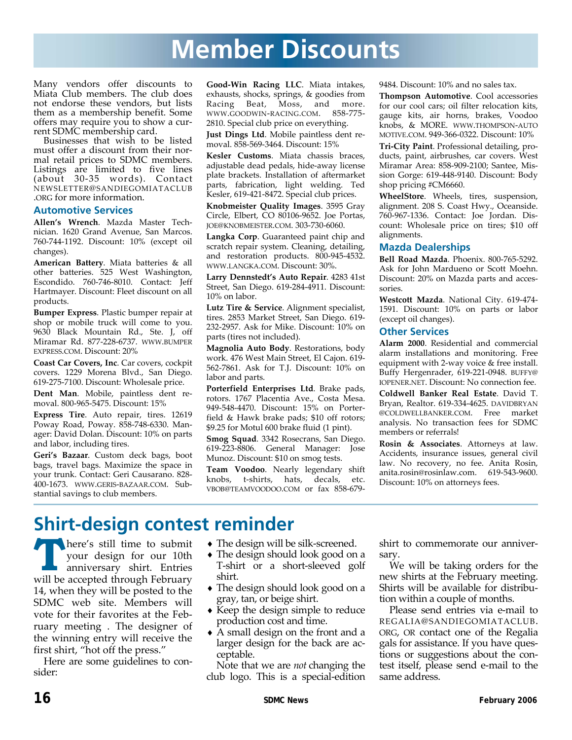## **Member Discounts**

Many vendors offer discounts to Miata Club members. The club does not endorse these vendors, but lists them as a membership benefit. Some offers may require you to show a cur‐ rent SDMC membership card.

Businesses that wish to be listed must offer a discount from their nor‐ mal retail prices to SDMC members. Listings are limited to five lines (about 30‐35 words). Contact NEWSLETTER@SANDIEGOMIATACLUB .ORG for more information.

#### **Automotive Services**

**Allen's Wrench**. Mazda Master Tech‐ nician. 1620 Grand Avenue, San Marcos. 760‐744‐1192. Discount: 10% (except oil changes).

**American Battery**. Miata batteries & all other batteries. 525 West Washington, Escondido. 760‐746‐8010. Contact: Jeff Hartmayer. Discount: Fleet discount on all products.

**Bumper Express**. Plastic bumper repair at shop or mobile truck will come to you. 9630 Black Mountain Rd., Ste. J, off Miramar Rd. 877‐228‐6737. WWW.BUMPER EXPRESS.COM. Discount: 20%

**Coast Car Covers, Inc**. Car covers, cockpit covers. 1229 Morena Blvd., San Diego. 619‐275‐7100. Discount: Wholesale price.

**Dent Man**. Mobile, paintless dent re‐ moval. 800‐965‐5475. Discount: 15%

**Express Tire**. Auto repair, tires. 12619 Poway Road, Poway. 858‐748‐6330. Man‐ ager: David Dolan. Discount: 10% on parts and labor, including tires.

**Geri's Bazaar**. Custom deck bags, boot bags, travel bags. Maximize the space in your trunk. Contact: Geri Causarano. 828‐ 400‐1673. WWW.GERIS‐BAZAAR.COM. Sub‐ stantial savings to club members.

**Good‐Win Racing LLC**. Miata intakes, exhausts, shocks, springs, & goodies from Racing Beat, Moss, and more. WWW.GOODWIN‐RACING.COM. 858‐775‐ 2810. Special club price on everything.

**Just Dings Ltd**. Mobile paintless dent re‐ moval. 858‐569‐3464. Discount: 15%

**Kesler Customs**. Miata chassis braces, adjustable dead pedals, hide‐away license plate brackets. Installation of aftermarket parts, fabrication, light welding. Ted Kesler, 619‐421‐8472. Special club prices.

**Knobmeister Quality Images**. 3595 Gray Circle, Elbert, CO 80106‐9652. Joe Portas, JOE@KNOBMEISTER.COM. 303‐730‐6060.

**Langka Corp**. Guaranteed paint chip and scratch repair system. Cleaning, detailing, and restoration products. 800‐945‐4532. WWW.LANGKA.COM. Discount: 30%.

**Larry Dennstedt's Auto Repair**. 4283 41st Street, San Diego. 619‐284‐4911. Discount: 10% on labor.

**Lutz Tire & Service**. Alignment specialist, tires. 2853 Market Street, San Diego. 619‐ 232‐2957. Ask for Mike. Discount: 10% on parts (tires not included).

**Magnolia Auto Body**. Restorations, body work. 476 West Main Street, El Cajon. 619‐ 562‐7861. Ask for T.J. Discount: 10% on labor and parts.

**Porterfield Enterprises Ltd**. Brake pads, rotors. 1767 Placentia Ave., Costa Mesa. 949‐548‐4470. Discount: 15% on Porter‐ field & Hawk brake pads; \$10 off rotors; \$9.25 for Motul 600 brake fluid (1 pint).

**Smog Squad**. 3342 Rosecrans, San Diego. 619‐223‐8806. General Manager: Jose Munoz. Discount: \$10 on smog tests.

**Team Voodoo**. Nearly legendary shift t-shirts, hats, decals, etc. VBOB@TEAMVOODOO.COM or fax 858‐679‐

9484. Discount: 10% and no sales tax.

**Thompson Automotive**. Cool accessories for our cool cars; oil filter relocation kits, gauge kits, air horns, brakes, Voodoo knobs, & MORE. WWW.THOMPSON‐AUTO MOTIVE.COM. 949‐366‐0322. Discount: 10%

**Tri‐City Paint**. Professional detailing, pro‐ ducts, paint, airbrushes, car covers. West Miramar Area: 858‐909‐2100; Santee, Mis‐ sion Gorge: 619‐448‐9140. Discount: Body shop pricing #CM6660.

**WheelStore**. Wheels, tires, suspension, alignment. 208 S. Coast Hwy., Oceanside. 760‐967‐1336. Contact: Joe Jordan. Dis‐ count: Wholesale price on tires; \$10 off alignments.

#### **Mazda Dealerships**

**Bell Road Mazda**. Phoenix. 800‐765‐5292. Ask for John Mardueno or Scott Moehn. Discount: 20% on Mazda parts and acces‐ sories.

**Westcott Mazda**. National City. 619‐474‐ 1591. Discount: 10% on parts or labor (except oil changes).

#### **Other Services**

**Alarm 2000**. Residential and commercial alarm installations and monitoring. Free equipment with 2‐way voice & free install. Buffy Hergenrader, 619‐221‐0948. BUFFY@ IOPENER.NET. Discount: No connection fee.

**Coldwell Banker Real Estate**. David T. Bryan, Realtor. 619‐334‐4625. DAVIDBRYAN @COLDWELLBANKER.COM. Free market analysis. No transaction fees for SDMC members or referrals!

**Rosin & Associates**. Attorneys at law. Accidents, insurance issues, general civil law. No recovery, no fee. Anita Rosin, anita.rosin@rosinlaw.com. 619‐543‐9600. Discount: 10% on attorneys fees.

### **Shirt-design contest reminder**

**T** here's still time to submit your design for our 10th anniversary shirt. Entries will be accepted through February 14, when they will be posted to the SDMC web site. Members will vote for their favorites at the Feb‐ ruary meeting . The designer of the winning entry will receive the first shirt, "hot off the press."

Here are some guidelines to consider:

- ◆ The design will be silk-screened.
- ♦ The design should look good on a T‐shirt or a short‐sleeved golf shirt.
- ♦ The design should look good on a gray, tan, or beige shirt.
- ♦ Keep the design simple to reduce production cost and time.
- ♦ A small design on the front and a larger design for the back are ac‐ ceptable.

Note that we are *not* changing the club logo. This is a special‐edition shirt to commemorate our anniver‐ sary.

We will be taking orders for the new shirts at the February meeting. Shirts will be available for distribu‐ tion within a couple of months.

Please send entries via e‐mail to REGALIA@SANDIEGOMIATACLUB. ORG, OR contact one of the Regalia gals for assistance. If you have ques‐ tions or suggestions about the con‐ test itself, please send e‐mail to the same address.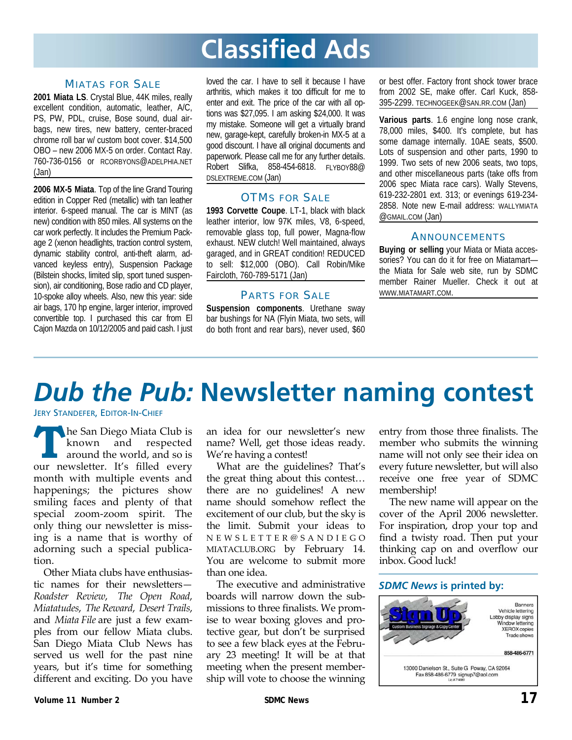# **Classified Ads**

#### MIATAS FOR SALE

**2001 Miata LS**. Crystal Blue, 44K miles, really excellent condition, automatic, leather, A/C, PS, PW, PDL, cruise, Bose sound, dual airbags, new tires, new battery, center-braced chrome roll bar w/ custom boot cover. \$14,500 OBO – new 2006 MX-5 on order. Contact Ray. 760-736-0156 or RCORBYONS@ADELPHIA.NET (Jan)

**2006 MX-5 Miata**. Top of the line Grand Touring edition in Copper Red (metallic) with tan leather interior. 6-speed manual. The car is MINT (as new) condition with 850 miles. All systems on the car work perfectly. It includes the Premium Package 2 (xenon headlights, traction control system, dynamic stability control, anti-theft alarm, advanced keyless entry), Suspension Package (Bilstein shocks, limited slip, sport tuned suspension), air conditioning, Bose radio and CD player, 10-spoke alloy wheels. Also, new this year: side air bags, 170 hp engine, larger interior, improved convertible top. I purchased this car from El Cajon Mazda on 10/12/2005 and paid cash. I just loved the car. I have to sell it because I have arthritis, which makes it too difficult for me to enter and exit. The price of the car with all options was \$27,095. I am asking \$24,000. It was my mistake. Someone will get a virtually brand new, garage-kept, carefully broken-in MX-5 at a good discount. I have all original documents and paperwork. Please call me for any further details. Robert Slifka, 858-454-6818. FLYBOY88@ DSLEXTREME.COM (Jan)

#### **OTMS FOR SALE**

**1993 Corvette Coupe**. LT-1, black with black leather interior, low 97K miles, V8, 6-speed, removable glass top, full power, Magna-flow exhaust. NEW clutch! Well maintained, always garaged, and in GREAT condition! REDUCED to sell: \$12,000 (OBO). Call Robin/Mike Faircloth, 760-789-5171 (Jan)

#### PARTS FOR SALE

**Suspension components**. Urethane sway bar bushings for NA (Flyin Miata, two sets, will do both front and rear bars), never used, \$60 or best offer. Factory front shock tower brace from 2002 SE, make offer. Carl Kuck, 858- 395-2299. TECHNOGEEK@SAN.RR.COM (Jan)

**Various parts**. 1.6 engine long nose crank, 78,000 miles, \$400. It's complete, but has some damage internally. 10AE seats, \$500. Lots of suspension and other parts, 1990 to 1999. Two sets of new 2006 seats, two tops, and other miscellaneous parts (take offs from 2006 spec Miata race cars). Wally Stevens, 619-232-2801 ext. 313; or evenings 619-234- 2858. Note new E-mail address: WALLYMIATA @GMAIL.COM (Jan)

#### ANNOUNCEMENTS

**Buying or selling** your Miata or Miata accessories? You can do it for free on Miatamart the Miata for Sale web site, run by SDMC member Rainer Mueller. Check it out at WWW.MIATAMART.COM.

# *Dub the Pub:* **Newsletter naming contest**

#### JERY STANDEFER, EDITOR-IN-CHIEF

**The San Diego Miata Club is** known and respected around the world, and so is our newsletter. It's filled every month with multiple events and happenings; the pictures show smiling faces and plenty of that special zoom‐zoom spirit. The only thing our newsletter is miss‐ ing is a name that is worthy of adorning such a special publica‐ tion.

Other Miata clubs have enthusias‐ tic names for their newsletters— *Roadster Review*, *The Open Road*, *Miatatudes*, *The Reward*, *Desert Trails*, and *Miata File* are just a few exam‐ ples from our fellow Miata clubs. San Diego Miata Club News has served us well for the past nine years, but it's time for something different and exciting. Do you have an idea for our newsletter's new name? Well, get those ideas ready. We're having a contest!

What are the guidelines? That's the great thing about this contest… there are no guidelines! A new name should somehow reflect the excitement of our club, but the sky is the limit. Submit your ideas to NEWSLETTER @ SANDIEGO MIATACLUB.ORG by February 14. You are welcome to submit more than one idea.

The executive and administrative boards will narrow down the sub‐ missions to three finalists. We prom‐ ise to wear boxing gloves and pro‐ tective gear, but don't be surprised to see a few black eyes at the Febru‐ ary 23 meeting! It will be at that meeting when the present member‐ ship will vote to choose the winning entry from those three finalists. The member who submits the winning name will not only see their idea on every future newsletter, but will also receive one free year of SDMC membership!

The new name will appear on the cover of the April 2006 newsletter. For inspiration, drop your top and find a twisty road. Then put your thinking cap on and overflow our inbox. Good luck!

#### *SDMC News* **is printed by:**